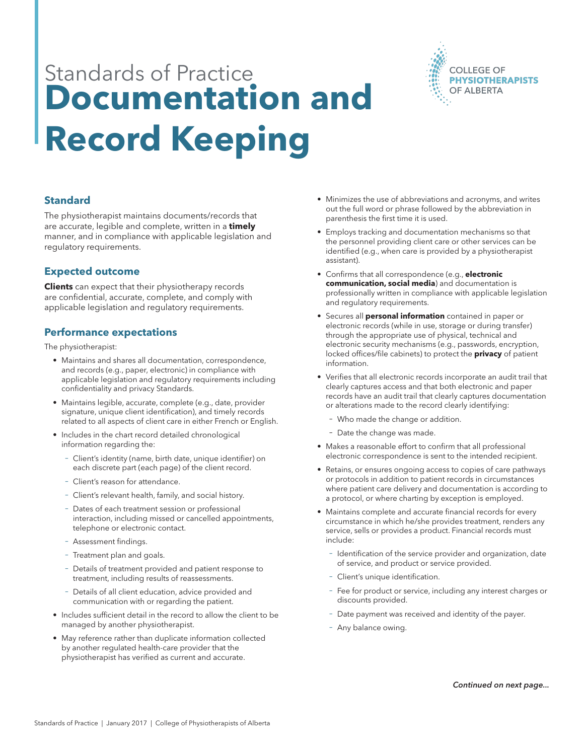# Standards of Practice **Documentation and Record Keeping**



### **Standard**

The physiotherapist maintains documents/records that are accurate, legible and complete, written in a **timely** manner, and in compliance with applicable legislation and regulatory requirements.

### **Expected outcome**

**Clients** can expect that their physiotherapy records are confidential, accurate, complete, and comply with applicable legislation and regulatory requirements.

### **Performance expectations**

The physiotherapist:

- Maintains and shares all documentation, correspondence, and records (e.g., paper, electronic) in compliance with applicable legislation and regulatory requirements including confidentiality and privacy Standards.
- Maintains legible, accurate, complete (e.g., date, provider signature, unique client identification), and timely records related to all aspects of client care in either French or English.
- Includes in the chart record detailed chronological information regarding the:
	- − Client's identity (name, birth date, unique identifier) on each discrete part (each page) of the client record.
	- − Client's reason for attendance.
	- − Client's relevant health, family, and social history.
	- − Dates of each treatment session or professional interaction, including missed or cancelled appointments, telephone or electronic contact.
	- − Assessment findings.
	- − Treatment plan and goals.
	- − Details of treatment provided and patient response to treatment, including results of reassessments.
	- Details of all client education, advice provided and communication with or regarding the patient.
- Includes sufficient detail in the record to allow the client to be managed by another physiotherapist.
- May reference rather than duplicate information collected by another regulated health-care provider that the physiotherapist has verified as current and accurate.
- Minimizes the use of abbreviations and acronyms, and writes out the full word or phrase followed by the abbreviation in parenthesis the first time it is used.
- Employs tracking and documentation mechanisms so that the personnel providing client care or other services can be identified (e.g., when care is provided by a physiotherapist assistant).
- Confirms that all correspondence (e.g., **electronic communication, social media**) and documentation is professionally written in compliance with applicable legislation and regulatory requirements.
- Secures all **personal information** contained in paper or electronic records (while in use, storage or during transfer) through the appropriate use of physical, technical and electronic security mechanisms (e.g., passwords, encryption, locked offices/file cabinets) to protect the **privacy** of patient information.
- Verifies that all electronic records incorporate an audit trail that clearly captures access and that both electronic and paper records have an audit trail that clearly captures documentation or alterations made to the record clearly identifying:
	- − Who made the change or addition.
	- − Date the change was made.
- Makes a reasonable effort to confirm that all professional electronic correspondence is sent to the intended recipient.
- Retains, or ensures ongoing access to copies of care pathways or protocols in addition to patient records in circumstances where patient care delivery and documentation is according to a protocol, or where charting by exception is employed.
- Maintains complete and accurate financial records for every circumstance in which he/she provides treatment, renders any service, sells or provides a product. Financial records must include:
	- − Identification of the service provider and organization, date of service, and product or service provided.
	- − Client's unique identification.
	- − Fee for product or service, including any interest charges or discounts provided.
	- Date payment was received and identity of the payer.
	- − Any balance owing.